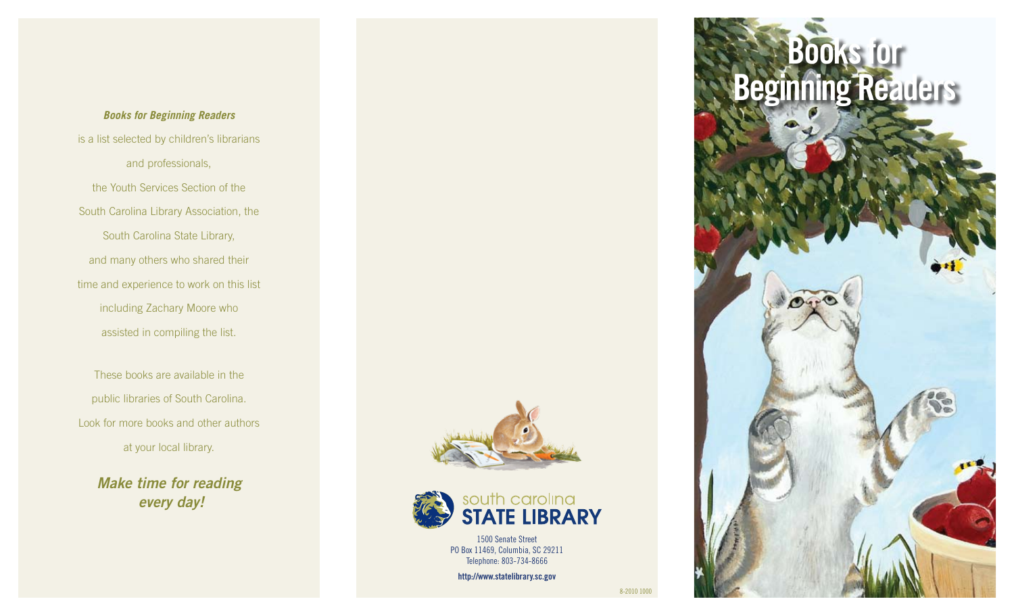## *Books for Beginning Readers*

is a list selected by children's librarians and professionals, the Youth Services Section of the South Carolina Library Association, the South Carolina State Library, and many others who shared their time and experience to work on this list including Zachary Moore who assisted in compiling the list.

These books are available in the public libraries of South Carolina. Look for more books and other authors at your local library.

*Make time for reading every day!*





PO Box 11469, Columbia, SC 29211 Telephone: 803-734-8666

**http://www.statelibrary.sc.gov**